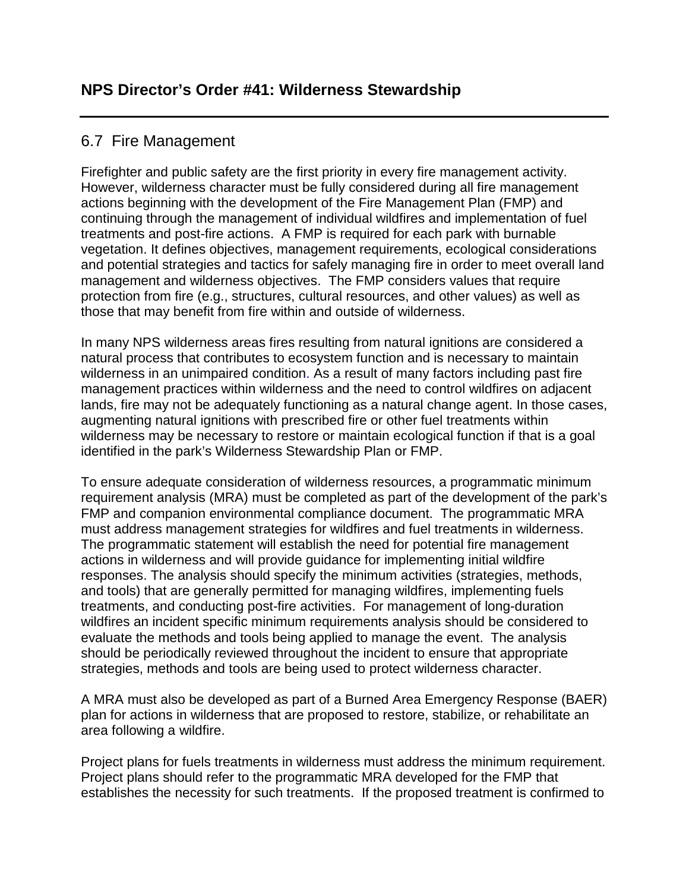## 6.7 Fire Management

Firefighter and public safety are the first priority in every fire management activity. However, wilderness character must be fully considered during all fire management actions beginning with the development of the Fire Management Plan (FMP) and continuing through the management of individual wildfires and implementation of fuel treatments and post-fire actions. A FMP is required for each park with burnable vegetation. It defines objectives, management requirements, ecological considerations and potential strategies and tactics for safely managing fire in order to meet overall land management and wilderness objectives. The FMP considers values that require protection from fire (e.g., structures, cultural resources, and other values) as well as those that may benefit from fire within and outside of wilderness.

In many NPS wilderness areas fires resulting from natural ignitions are considered a natural process that contributes to ecosystem function and is necessary to maintain wilderness in an unimpaired condition. As a result of many factors including past fire management practices within wilderness and the need to control wildfires on adjacent lands, fire may not be adequately functioning as a natural change agent. In those cases, augmenting natural ignitions with prescribed fire or other fuel treatments within wilderness may be necessary to restore or maintain ecological function if that is a goal identified in the park's Wilderness Stewardship Plan or FMP.

To ensure adequate consideration of wilderness resources, a programmatic minimum requirement analysis (MRA) must be completed as part of the development of the park's FMP and companion environmental compliance document. The programmatic MRA must address management strategies for wildfires and fuel treatments in wilderness. The programmatic statement will establish the need for potential fire management actions in wilderness and will provide guidance for implementing initial wildfire responses. The analysis should specify the minimum activities (strategies, methods, and tools) that are generally permitted for managing wildfires, implementing fuels treatments, and conducting post-fire activities. For management of long-duration wildfires an incident specific minimum requirements analysis should be considered to evaluate the methods and tools being applied to manage the event. The analysis should be periodically reviewed throughout the incident to ensure that appropriate strategies, methods and tools are being used to protect wilderness character.

A MRA must also be developed as part of a Burned Area Emergency Response (BAER) plan for actions in wilderness that are proposed to restore, stabilize, or rehabilitate an area following a wildfire.

Project plans for fuels treatments in wilderness must address the minimum requirement. Project plans should refer to the programmatic MRA developed for the FMP that establishes the necessity for such treatments. If the proposed treatment is confirmed to